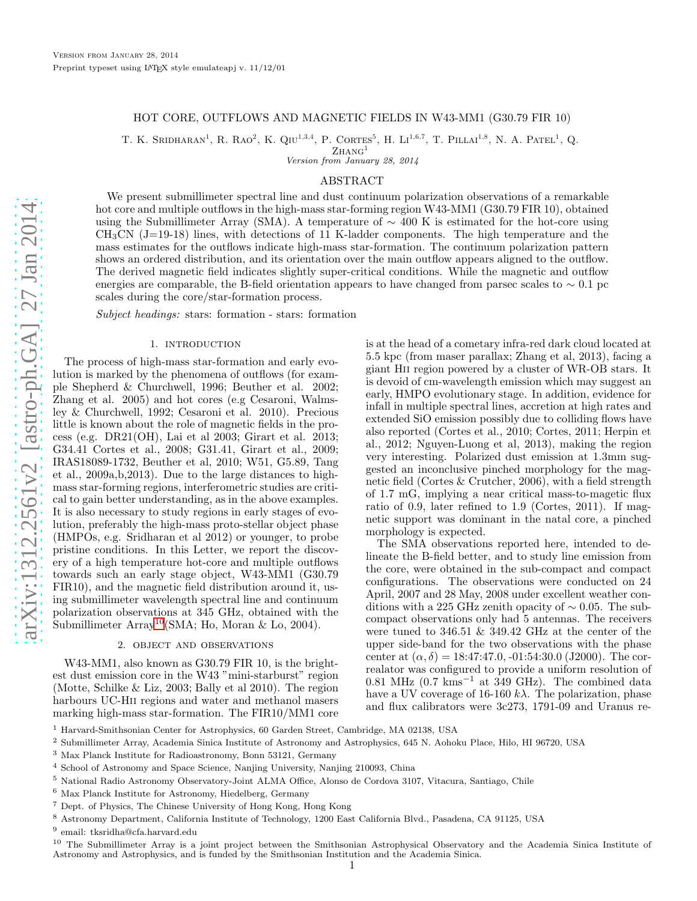# HOT CORE, OUTFLOWS AND MAGNETIC FIELDS IN W43-MM1 (G30.79 FIR 10)

T. K. SRIDHARAN<sup>1</sup>, R. RAO<sup>2</sup>, K. QIU<sup>1,3,4</sup>, P. CORTES<sup>5</sup>, H. LI<sup>1,6,7</sup>, T. PILLAI<sup>1,8</sup>, N. A. PATEL<sup>1</sup>, Q.

 $Z$ HANG<sup>1</sup> Version from January 28, 2014

# ABSTRACT

We present submillimeter spectral line and dust continuum polarization observations of a remarkable hot core and multiple outflows in the high-mass star-forming region W43-MM1 (G30.79 FIR 10), obtained using the Submillimeter Array (SMA). A temperature of  $\sim$  400 K is estimated for the hot-core using  $CH<sub>3</sub>CN$  (J=19-18) lines, with detections of 11 K-ladder components. The high temperature and the mass estimates for the outflows indicate high-mass star-formation. The continuum polarization pattern shows an ordered distribution, and its orientation over the main outflow appears aligned to the outflow. The derived magnetic field indicates slightly super-critical conditions. While the magnetic and outflow energies are comparable, the B-field orientation appears to have changed from parsec scales to  $\sim 0.1$  pc scales during the core/star-formation process.

Subject headings: stars: formation - stars: formation

#### 1. INTRODUCTION

The process of high-mass star-formation and early evolution is marked by the phenomena of outflows (for example Shepherd & Churchwell, 1996; Beuther et al. 2002; Zhang et al. 2005) and hot cores (e.g Cesaroni, Walmsley & Churchwell, 1992; Cesaroni et al. 2010). Precious little is known about the role of magnetic fields in the process (e.g. DR21(OH), Lai et al 2003; Girart et al. 2013; G34.41 Cortes et al., 2008; G31.41, Girart et al., 2009; IRAS18089-1732, Beuther et al, 2010; W51, G5.89, Tang et al., 2009a,b,2013). Due to the large distances to highmass star-forming regions, interferometric studies are critical to gain better understanding, as in the above examples. It is also necessary to study regions in early stages of evolution, preferably the high-mass proto-stellar object phase (HMPOs, e.g. Sridharan et al 2012) or younger, to probe pristine conditions. In this Letter, we report the discovery of a high temperature hot-core and multiple outflows towards such an early stage object, W43-MM1 (G30.79 FIR10), and the magnetic field distribution around it, using submillimeter wavelength spectral line and continuum polarization observations at 345 GHz, obtained with the Submillimeter Array<sup>[10](#page-0-0)</sup>(SMA; Ho, Moran & Lo, 2004).

# 2. object and observations

W43-MM1, also known as G30.79 FIR 10, is the brightest dust emission core in the W43 "mini-starburst" region (Motte, Schilke & Liz, 2003; Bally et al 2010). The region harbours UC-Hii regions and water and methanol masers marking high-mass star-formation. The FIR10/MM1 core is at the head of a cometary infra-red dark cloud located at 5.5 kpc (from maser parallax; Zhang et al, 2013), facing a giant Hii region powered by a cluster of WR-OB stars. It is devoid of cm-wavelength emission which may suggest an early, HMPO evolutionary stage. In addition, evidence for infall in multiple spectral lines, accretion at high rates and extended SiO emission possibly due to colliding flows have also reported (Cortes et al., 2010; Cortes, 2011; Herpin et al., 2012; Nguyen-Luong et al, 2013), making the region very interesting. Polarized dust emission at 1.3mm suggested an inconclusive pinched morphology for the magnetic field (Cortes & Crutcher, 2006), with a field strength of 1.7 mG, implying a near critical mass-to-magetic flux ratio of 0.9, later refined to 1.9 (Cortes, 2011). If magnetic support was dominant in the natal core, a pinched morphology is expected.

The SMA observations reported here, intended to delineate the B-field better, and to study line emission from the core, were obtained in the sub-compact and compact configurations. The observations were conducted on 24 April, 2007 and 28 May, 2008 under excellent weather conditions with a 225 GHz zenith opacity of  $\sim 0.05$ . The subcompact observations only had 5 antennas. The receivers were tuned to 346.51 & 349.42 GHz at the center of the upper side-band for the two observations with the phase center at  $(\alpha, \delta) = 18:47:47.0, -01:54:30.0$  (J2000). The correalator was configured to provide a uniform resolution of 0.81 MHz  $(0.7 \text{ km s}^{-1}$  at 349 GHz). The combined data have a UV coverage of 16-160  $k\lambda$ . The polarization, phase and flux calibrators were 3c273, 1791-09 and Uranus re-

<sup>2</sup> Submillimeter Array, Academia Sinica Institute of Astronomy and Astrophysics, 645 N. Aohoku Place, Hilo, HI 96720, USA

- <sup>4</sup> School of Astronomy and Space Science, Nanjing University, Nanjing 210093, China
- <sup>5</sup> National Radio Astronomy Observatory-Joint ALMA Office, Alonso de Cordova 3107, Vitacura, Santiago, Chile
- <sup>6</sup> Max Planck Institute for Astronomy, Hiedelberg, Germany
- <sup>7</sup> Dept. of Physics, The Chinese University of Hong Kong, Hong Kong
- <sup>8</sup> Astronomy Department, California Institute of Technology, 1200 East California Blvd., Pasadena, CA 91125, USA

 $^9$ email: tksridha@cfa.harvard.edu

<span id="page-0-0"></span><sup>10</sup> The Submillimeter Array is a joint project between the Smithsonian Astrophysical Observatory and the Academia Sinica Institute of Astronomy and Astrophysics, and is funded by the Smithsonian Institution and the Academia Sinica.

<sup>1</sup> Harvard-Smithsonian Center for Astrophysics, 60 Garden Street, Cambridge, MA 02138, USA

<sup>3</sup> Max Planck Institute for Radioastronomy, Bonn 53121, Germany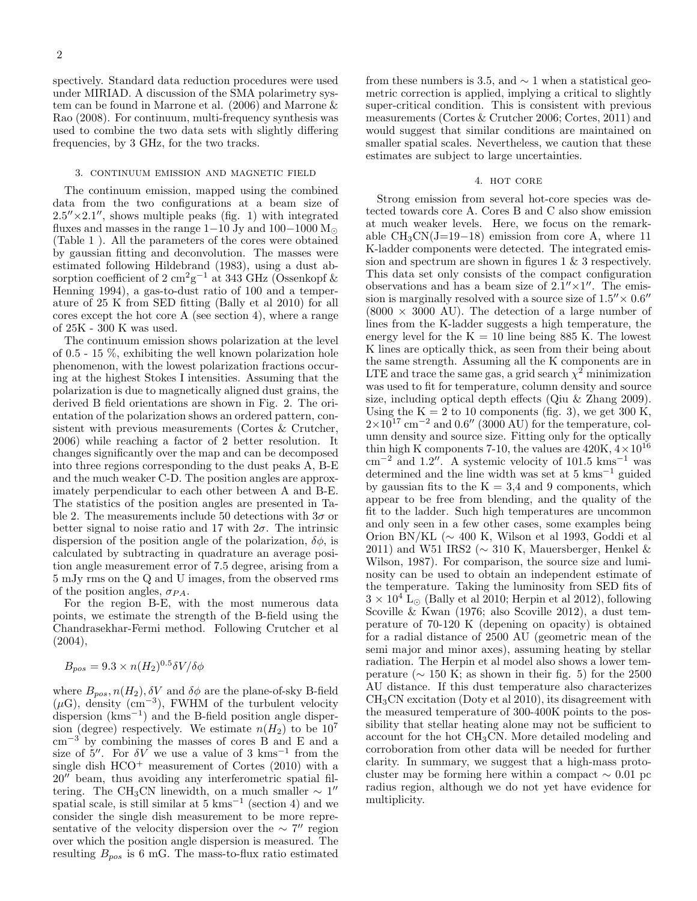spectively. Standard data reduction procedures were used under MIRIAD. A discussion of the SMA polarimetry system can be found in Marrone et al. (2006) and Marrone & Rao (2008). For continuum, multi-frequency synthesis was used to combine the two data sets with slightly differing frequencies, by 3 GHz, for the two tracks.

#### 3. continuum emission and magnetic field

The continuum emission, mapped using the combined data from the two configurations at a beam size of  $2.5'' \times 2.1''$ , shows multiple peaks (fig. 1) with integrated fluxes and masses in the range 1−10 Jy and 100−1000  $M_{\odot}$ (Table 1 ). All the parameters of the cores were obtained by gaussian fitting and deconvolution. The masses were estimated following Hildebrand (1983), using a dust absorption coefficient of 2 cm<sup>2</sup>g<sup>-1</sup> at 343 GHz (Ossenkopf & Henning 1994), a gas-to-dust ratio of 100 and a temperature of 25 K from SED fitting (Bally et al 2010) for all cores except the hot core A (see section 4), where a range of 25K - 300 K was used.

The continuum emission shows polarization at the level of 0.5 - 15 %, exhibiting the well known polarization hole phenomenon, with the lowest polarization fractions occuring at the highest Stokes I intensities. Assuming that the polarization is due to magnetically aligned dust grains, the derived B field orientations are shown in Fig. 2. The orientation of the polarization shows an ordered pattern, consistent with previous measurements (Cortes & Crutcher, 2006) while reaching a factor of 2 better resolution. It changes significantly over the map and can be decomposed into three regions corresponding to the dust peaks A, B-E and the much weaker C-D. The position angles are approximately perpendicular to each other between A and B-E. The statistics of the position angles are presented in Table 2. The measurements include 50 detections with  $3\sigma$  or better signal to noise ratio and 17 with  $2\sigma$ . The intrinsic dispersion of the position angle of the polarization,  $\delta\phi$ , is calculated by subtracting in quadrature an average position angle measurement error of 7.5 degree, arising from a 5 mJy rms on the Q and U images, from the observed rms of the position angles,  $\sigma_{PA}$ .

For the region B-E, with the most numerous data points, we estimate the strength of the B-field using the Chandrasekhar-Fermi method. Following Crutcher et al (2004),

$$
B_{pos} = 9.3 \times n(H_2)^{0.5} \delta V / \delta \phi
$$

where  $B_{pos}$ ,  $n(H_2)$ ,  $\delta V$  and  $\delta \phi$  are the plane-of-sky B-field  $(\mu G)$ , density  $(\text{cm}^{-3})$ , FWHM of the turbulent velocity dispersion (kms<sup>−</sup><sup>1</sup> ) and the B-field position angle dispersion (degree) respectively. We estimate  $n(H_2)$  to be  $10^7$ cm<sup>−</sup><sup>3</sup> by combining the masses of cores B and E and a size of  $5''$ . For  $\delta V$  we use a value of 3 kms<sup>-1</sup> from the single dish  $HCO<sup>+</sup>$  measurement of Cortes (2010) with a 20′′ beam, thus avoiding any interferometric spatial filtering. The CH<sub>3</sub>CN linewidth, on a much smaller  $\sim 1''$ spatial scale, is still similar at  $5 \text{ km s}^{-1}$  (section 4) and we consider the single dish measurement to be more representative of the velocity dispersion over the  $\sim 7''$  region over which the position angle dispersion is measured. The resulting  $B_{pos}$  is 6 mG. The mass-to-flux ratio estimated

from these numbers is 3.5, and  $\sim$  1 when a statistical geometric correction is applied, implying a critical to slightly super-critical condition. This is consistent with previous measurements (Cortes & Crutcher 2006; Cortes, 2011) and would suggest that similar conditions are maintained on smaller spatial scales. Nevertheless, we caution that these estimates are subject to large uncertainties.

## 4. hot core

Strong emission from several hot-core species was detected towards core A. Cores B and C also show emission at much weaker levels. Here, we focus on the remarkable  $CH_3CN(J=19-18)$  emission from core A, where 11 K-ladder components were detected. The integrated emission and spectrum are shown in figures 1 & 3 respectively. This data set only consists of the compact configuration observations and has a beam size of  $2.1'' \times 1''$ . The emission is marginally resolved with a source size of  $1.5'' \times 0.6''$  $(8000 \times 3000 \text{ AU})$ . The detection of a large number of lines from the K-ladder suggests a high temperature, the energy level for the  $K = 10$  line being 885 K. The lowest K lines are optically thick, as seen from their being about the same strength. Assuming all the K components are in LTE and trace the same gas, a grid search  $\chi^2$  minimization was used to fit for temperature, column density and source size, including optical depth effects (Qiu & Zhang 2009). Using the  $K = 2$  to 10 components (fig. 3), we get 300 K,  $2\times10^{17}$  cm<sup>-2</sup> and 0.6″ (3000 AU) for the temperature, column density and source size. Fitting only for the optically thin high K components 7-10, the values are  $420K, 4 \times 10^{16}$ cm<sup>-2</sup> and 1.2″. A systemic velocity of 101.5 kms<sup>-1</sup> was determined and the line width was set at  $5 \text{ km s}^{-1}$  guided by gaussian fits to the  $K = 3.4$  and 9 components, which appear to be free from blending, and the quality of the fit to the ladder. Such high temperatures are uncommon and only seen in a few other cases, some examples being Orion BN/KL (∼ 400 K, Wilson et al 1993, Goddi et al 2011) and W51 IRS2 ( $\sim$  310 K, Mauersberger, Henkel & Wilson, 1987). For comparison, the source size and luminosity can be used to obtain an independent estimate of the temperature. Taking the luminosity from SED fits of  $3 \times 10^4$  L<sub>⊙</sub> (Bally et al 2010; Herpin et al 2012), following Scoville & Kwan (1976; also Scoville 2012), a dust temperature of 70-120 K (depening on opacity) is obtained for a radial distance of 2500 AU (geometric mean of the semi major and minor axes), assuming heating by stellar radiation. The Herpin et al model also shows a lower temperature ( $\sim 150$  K; as shown in their fig. 5) for the 2500 AU distance. If this dust temperature also characterizes  $CH<sub>3</sub>CN$  excitation (Doty et al 2010), its disagreement with the measured temperature of 300-400K points to the possibility that stellar heating alone may not be sufficient to account for the hot CH3CN. More detailed modeling and corroboration from other data will be needed for further clarity. In summary, we suggest that a high-mass protocluster may be forming here within a compact  $\sim 0.01$  pc radius region, although we do not yet have evidence for multiplicity.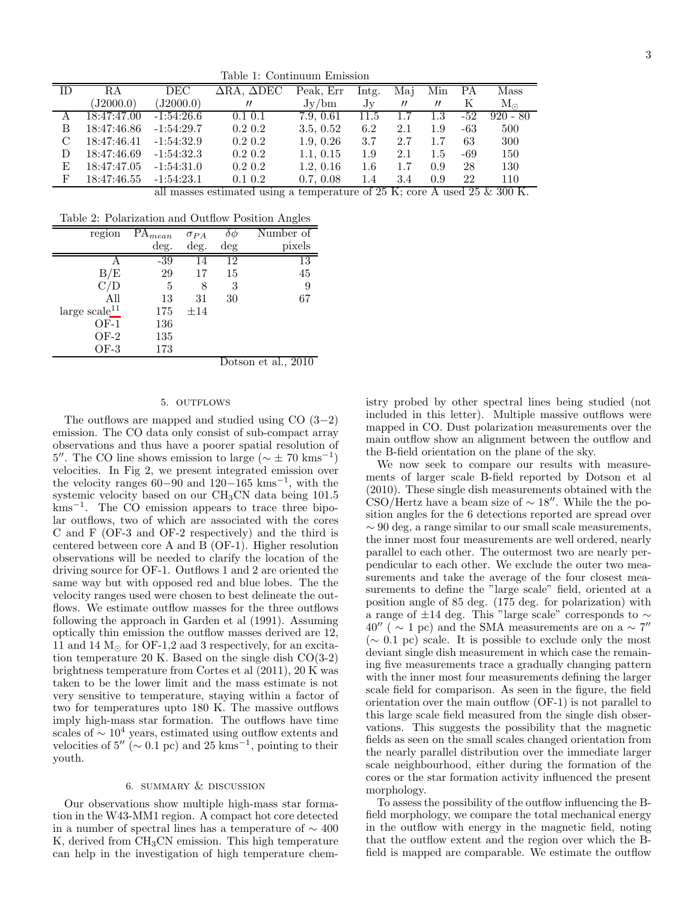Table 1: Continuum Emission

| TD. | R.A         | DEC          | $\Delta$ RA. $\Delta$ DEC | Peak, Err | Intg.   | Mai               | Min               | PА  | Mass            |
|-----|-------------|--------------|---------------------------|-----------|---------|-------------------|-------------------|-----|-----------------|
|     | (J2000.0)   | (J2000.0)    | $^{\prime\prime}$         | Jv/bm     | Jv      | $^{\prime\prime}$ | $^{\prime\prime}$ | K   | $\rm M_{\odot}$ |
| A   | 18:47:47.00 | $-1:54:26.6$ | $0.1\;0.1$                | 7.9, 0.61 | 11.5    | 1.7               | 1.3               | -52 | $920 - 80$      |
| В   | 18:47:46.86 | $-1:54:29.7$ | $0.2\;0.2$                | 3.5, 0.52 | 6.2     | 2.1               | 1.9               | -63 | 500             |
| C   | 18:47:46.41 | $-1:54:32.9$ | $0.2\;0.2$                | 1.9, 0.26 | 3.7     | 2.7               | 1.7               | 63  | 300             |
| D   | 18:47:46.69 | $-1:54:32.3$ | $0.2\;0.2$                | 1.1, 0.15 | 1.9     | 2.1               | $1.5\,$           | -69 | 150             |
| E   | 18:47:47.05 | $-1:54:31.0$ | $0.2\;0.2$                | 1.2, 0.16 | $1.6\,$ | 1.7               | 0.9               | 28  | 130             |
| F   | 18:47:46.55 | $-1:54:23.1$ | $0.1\;0.2$                | 0.7, 0.08 | 1.4     | 3.4               | 0.9               | 22  | 110             |

all masses estimated using a temperature of 25 K; core A used 25 & 300 K.

Table 2: Polarization and Outflow Position Angles

| region          | $PA_{mean}$ | $\sigma_{PA}$ | Ò⊄                           | Number of                   |
|-----------------|-------------|---------------|------------------------------|-----------------------------|
|                 | deg.        | deg.          | $\deg$                       | pixels                      |
|                 | $-39$       | 14            | 12                           | 13                          |
| $\rm\,B/E$      | 29          | 17            | 15                           | 45                          |
|                 | 5           | 8             | 3                            | 9                           |
| All             | 13          | 31            | 30                           | 67                          |
| large $scale11$ | 175         | $\pm 14$      |                              |                             |
| $OF-1$          | 136         |               |                              |                             |
| $OF-2$          | 135         |               |                              |                             |
| $OF-3$          | 173         |               |                              |                             |
|                 |             |               | $\mathbf{L}$<br>$\mathbf{r}$ | 0.010<br>п.<br>$\mathbf{r}$ |

Dotson et al., 2010

# 5. OUTFLOWS

The outflows are mapped and studied using  $CO(3-2)$ emission. The CO data only consist of sub-compact array observations and thus have a poorer spatial resolution of 5''. The CO line shows emission to large ( $\sim \pm 70 \text{ km s}^{-1}$ ) velocities. In Fig 2, we present integrated emission over the velocity ranges  $60-90$  and  $120-165$  kms<sup>-1</sup>, with the systemic velocity based on our CH3CN data being 101.5 kms<sup>−</sup><sup>1</sup> . The CO emission appears to trace three bipolar outflows, two of which are associated with the cores C and F (OF-3 and OF-2 respectively) and the third is centered between core A and B (OF-1). Higher resolution observations will be needed to clarify the location of the driving source for OF-1. Outflows 1 and 2 are oriented the same way but with opposed red and blue lobes. The the velocity ranges used were chosen to best delineate the outflows. We estimate outflow masses for the three outflows following the approach in Garden et al (1991). Assuming optically thin emission the outflow masses derived are 12, 11 and 14  $M_{\odot}$  for OF-1,2 aad 3 respectively, for an excitation temperature 20 K. Based on the single dish CO(3-2) brightness temperature from Cortes et al (2011), 20 K was taken to be the lower limit and the mass estimate is not very sensitive to temperature, staying within a factor of two for temperatures upto 180 K. The massive outflows imply high-mass star formation. The outflows have time scales of  $\sim 10^4$  years, estimated using outflow extents and velocities of  $5''$  ( $\sim 0.1$  pc) and  $25 \text{ km s}^{-1}$ , pointing to their youth.

## 6. summary & discussion

Our observations show multiple high-mass star formation in the W43-MM1 region. A compact hot core detected in a number of spectral lines has a temperature of  $\sim 400$  $K$ , derived from  $CH<sub>3</sub>CN$  emission. This high temperature can help in the investigation of high temperature chem-

istry probed by other spectral lines being studied (not included in this letter). Multiple massive outflows were mapped in CO. Dust polarization measurements over the main outflow show an alignment between the outflow and the B-field orientation on the plane of the sky.

We now seek to compare our results with measurements of larger scale B-field reported by Dotson et al (2010). These single dish measurements obtained with the CSO/Hertz have a beam size of  $\sim 18''$ . While the the position angles for the 6 detections reported are spread over  $\sim$  90 deg, a range similar to our small scale measurements, the inner most four measurements are well ordered, nearly parallel to each other. The outermost two are nearly perpendicular to each other. We exclude the outer two measurements and take the average of the four closest measurements to define the "large scale" field, oriented at a position angle of 85 deg. (175 deg. for polarization) with a range of ±14 deg. This "large scale" corresponds to ∼  $40''$  (  $\sim$  1 pc) and the SMA measurements are on a  $\sim$  7"  $(\sim 0.1 \text{ pc})$  scale. It is possible to exclude only the most deviant single dish measurement in which case the remaining five measurements trace a gradually changing pattern with the inner most four measurements defining the larger scale field for comparison. As seen in the figure, the field orientation over the main outflow (OF-1) is not parallel to this large scale field measured from the single dish observations. This suggests the possibility that the magnetic fields as seen on the small scales changed orientation from the nearly parallel distribution over the immediate larger scale neighbourhood, either during the formation of the cores or the star formation activity influenced the present morphology.

To assess the possibility of the outflow influencing the Bfield morphology, we compare the total mechanical energy in the outflow with energy in the magnetic field, noting that the outflow extent and the region over which the Bfield is mapped are comparable. We estimate the outflow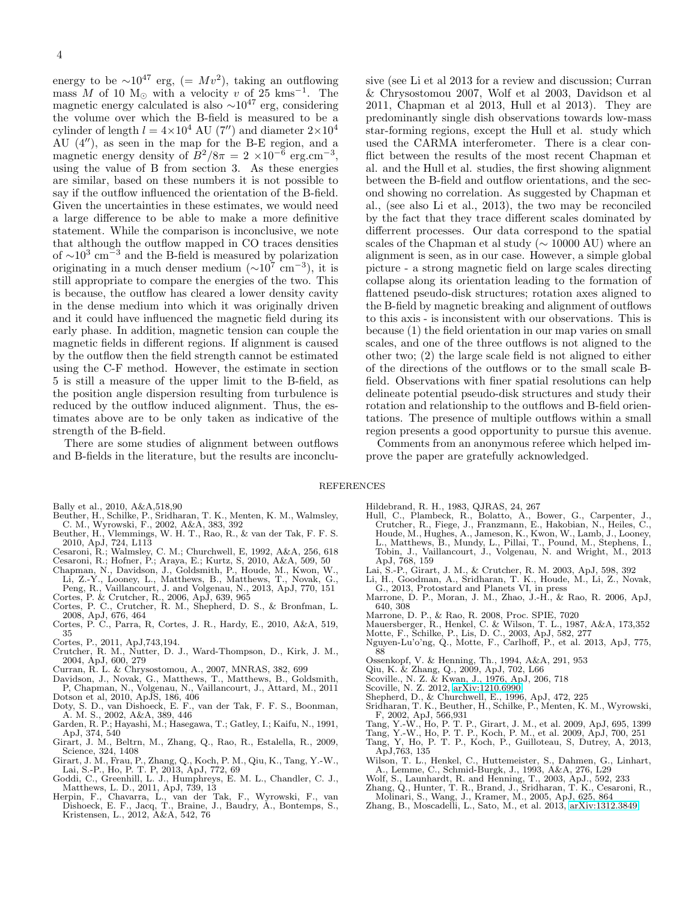energy to be  $\sim 10^{47}$  erg, (=  $Mv^2$ ), taking an outflowing mass M of 10 M<sub>☉</sub> with a velocity v of 25 kms<sup>-1</sup>. The magnetic energy calculated is also  $\sim 10^{47}$  erg, considering the volume over which the B-field is measured to be a cylinder of length  $l = 4 \times 10^4$  AU (7'') and diameter  $2 \times 10^4$ AU (4′′), as seen in the map for the B-E region, and a magnetic energy density of  $B^2/8\pi = 2 \times 10^{-6} \text{ erg.cm}^{-3}$ , using the value of B from section 3. As these energies are similar, based on these numbers it is not possible to say if the outflow influenced the orientation of the B-field. Given the uncertainties in these estimates, we would need a large difference to be able to make a more definitive statement. While the comparison is inconclusive, we note that although the outflow mapped in CO traces densities of  $\sim 10^3$  cm<sup>-3</sup> and the B-field is measured by polarization originating in a much denser medium  $(\sim 10^7 \text{ cm}^{-3})$ , it is still appropriate to compare the energies of the two. This is because, the outflow has cleared a lower density cavity in the dense medium into which it was originally driven and it could have influenced the magnetic field during its early phase. In addition, magnetic tension can couple the magnetic fields in different regions. If alignment is caused by the outflow then the field strength cannot be estimated using the C-F method. However, the estimate in section 5 is still a measure of the upper limit to the B-field, as the position angle dispersion resulting from turbulence is reduced by the outflow induced alignment. Thus, the estimates above are to be only taken as indicative of the strength of the B-field.

There are some studies of alignment between outflows and B-fields in the literature, but the results are inconclusive (see Li et al 2013 for a review and discussion; Curran & Chrysostomou 2007, Wolf et al 2003, Davidson et al 2011, Chapman et al 2013, Hull et al 2013). They are predominantly single dish observations towards low-mass star-forming regions, except the Hull et al. study which used the CARMA interferometer. There is a clear conflict between the results of the most recent Chapman et al. and the Hull et al. studies, the first showing alignment between the B-field and outflow orientations, and the second showing no correlation. As suggested by Chapman et al., (see also Li et al., 2013), the two may be reconciled by the fact that they trace different scales dominated by differrent processes. Our data correspond to the spatial scales of the Chapman et al study (∼ 10000 AU) where an alignment is seen, as in our case. However, a simple global picture - a strong magnetic field on large scales directing collapse along its orientation leading to the formation of flattened pseudo-disk structures; rotation axes aligned to the B-field by magnetic breaking and alignment of outflows to this axis - is inconsistent with our observations. This is because (1) the field orientation in our map varies on small scales, and one of the three outflows is not aligned to the other two; (2) the large scale field is not aligned to either of the directions of the outflows or to the small scale Bfield. Observations with finer spatial resolutions can help delineate potential pseudo-disk structures and study their rotation and relationship to the outflows and B-field orientations. The presence of multiple outflows within a small region presents a good opportunity to pursue this avenue.

Comments from an anonymous referee which helped improve the paper are gratefully acknowledged.

#### REFERENCES

- 
- Bally et al., 2010, A&A,518,90 Beuther, H., Schilke, P., Sridharan, T. K., Menten, K. M., Walmsley,
- C. M., Wyrowski, F., 2002, A&A, 383, 392 Beuther, H., Vlemmings, W. H. T., Rao, R., & van der Tak, F. F. S.
- 2010, ApJ, 724, L113
- Cesaroni, R.; Walmsley, C. M.; Churchwell, E, 1992, A&A, 256, 618
- Cesaroni, R.; Hofner, P.; Araya, E.; Kurtz, S, 2010, A&A, 509, 50
- Chapman, N., Davidson, J., Goldsmith, P., Houde, M., Kwon, W., Li, Z.-Y., Looney, L., Matthews, B., Matthews, T., Novak, G., Peng, R., Vaillancourt, J. and Volgenau, N., 2013, ApJ, 770, 151
- Cortes, P. & Crutcher, R., 2006, ApJ, 639, 965 Cortes, P. C., Crutcher, R. M., Shepherd, D. S., & Bronfman, L.
- 2008, ApJ, 676, 464 Cortes, P. C., Parra, R, Cortes, J. R., Hardy, E., 2010, A&A, 519,
- 35 Cortes, P., 2011, ApJ,743,194.
- Crutcher, R. M., Nutter, D. J., Ward-Thompson, D., Kirk, J. M., 2004, ApJ, 600, 279
- Curran, R. L. & Chrysostomou, A., 2007, MNRAS, 382, 699
- Davidson, J., Novak, G., Matthews, T., Matthews, B., Goldsmith, P, Chapman, N., Volgenau, N., Vaillancourt, J., Attard, M., 2011 Dotson et al, 2010, ApJS, 186, 406
- Doty, S. D., van Dishoeck, E. F., van der Tak, F. F. S., Boonman, A. M. S., 2002, A&A, 389, 446
- Garden, R. P.; Hayashi, M.; Hasegawa, T.; Gatley, I.; Kaifu, N., 1991, ApJ, 374, 540
- Girart, J. M., Beltrn, M., Zhang, Q., Rao, R., Estalella, R., 2009, Science, 324, 1408
- Girart, J. M., Frau, P., Zhang, Q., Koch, P. M., Qiu, K., Tang, Y.-W., Lai, S.-P., Ho, P. T. P, 2013, ApJ, 772, 69 Goddi, C., Greenhill, L. J., Humphreys, E. M. L., Chandler, C. J.,
- Matthews, L. D., 2011, ApJ, 739, 13 Herpin, F., Chavarra, L., van der Tak, F., Wyrowski, F., van
- Dishoeck, E. F., Jacq, T., Braine, J., Baudry, A., Bontemps, S., Kristensen, L., 2012, A&A, 542, 76
- Hildebrand, R. H., 1983, QJRAS, 24, 267
- Hull, C., Plambeck, R., Bolatto, A., Bower, G., Carpenter, J., Crutcher, R., Fiege, J., Franzmann, E., Hakobian, N., Heiles, C., Houde, M., Hughes, A., Jameson, K., Kwon, W., Lamb, J., Looney, L., Matthews, B., Mundy, L., Pillai, T., Pound, M., Stephens, I., Tobin, J., Vaillancourt, J., Volgenau, N. and Wright, M., 2013 ApJ, 768, 159
- Lai, S.-P., Girart, J. M., & Crutcher, R. M. 2003, ApJ, 598, 392
- Li, H., Goodman, A., Sridharan, T. K., Houde, M., Li, Z., Novak,
- G., 2013, Protostard and Planets VI, in press Marrone, D. P., Moran, J. M., Zhao, J.-H., & Rao, R. 2006, ApJ, 640, 308
- 
- Marrone, D. P., & Rao, R. 2008, Proc. SPIE, 7020 Mauersberger, R., Henkel, C. & Wilson, T. L., 1987, A&A, 173,352
- Motte, F., Schilke, P., Lis, D. C., 2003, ApJ, 582, 277
- Nguyen-Lu'o'ng, Q., Motte, F., Carlhoff, P., et al. 2013, ApJ, 775, 88 Ossenkopf, V. & Henning, Th., 1994, A&A, 291, 953 Qiu, K. & Zhang, Q., 2009, ApJ, 702, L66
- 
- 
- Scoville., N. Z. & Kwan, J., 1976, ApJ, 206, 718
- Scoville, N. Z. 2012, [arXiv:1210.6990](http://arxiv.org/abs/1210.6990)
- Shepherd, D., & Churchwell, E., 1996, ApJ, 472, 225<br>Sridharan, T. K., Beuther, H., Schilke, P., Menten, K. M., Wyrowski,
- Sridharan, T. K., Beuther, H., Schilke, P., Menten, K. M., Wyrowski, F, 2002, ApJ, 566,931
- Tang, Y.-W., Ho, P. T. P., Girart, J. M., et al. 2009, ApJ, 695, 1399 Tang, Y.-W., Ho, P. T. P., Koch, P. M., et al. 2009, ApJ, 700, 251
- 
- Tang, Y, Ho, P. T. P., Koch, P., Guilloteau, S, Dutrey, A, 2013, ApJ,763, 135
- Wilson, T. L., Henkel, C., Huttemeister, S., Dahmen, G., Linhart, A., Lemme, C., Schmid-Burgk, J., 1993, A&A, 276, L29 Wolf, S., Launhardt, R. and Henning, T., 2003, ApJ., 592, 233
- 
- Zhang, Q., Hunter, T. R., Brand, J., Sridharan, T. K., Cesaroni, R., Molinari, S., Wang, J., Kramer, M., 2005, ApJ, 625, 864
- Zhang, B., Moscadelli, L., Sato, M., et al. 2013, [arXiv:1312.3849](http://arxiv.org/abs/1312.3849)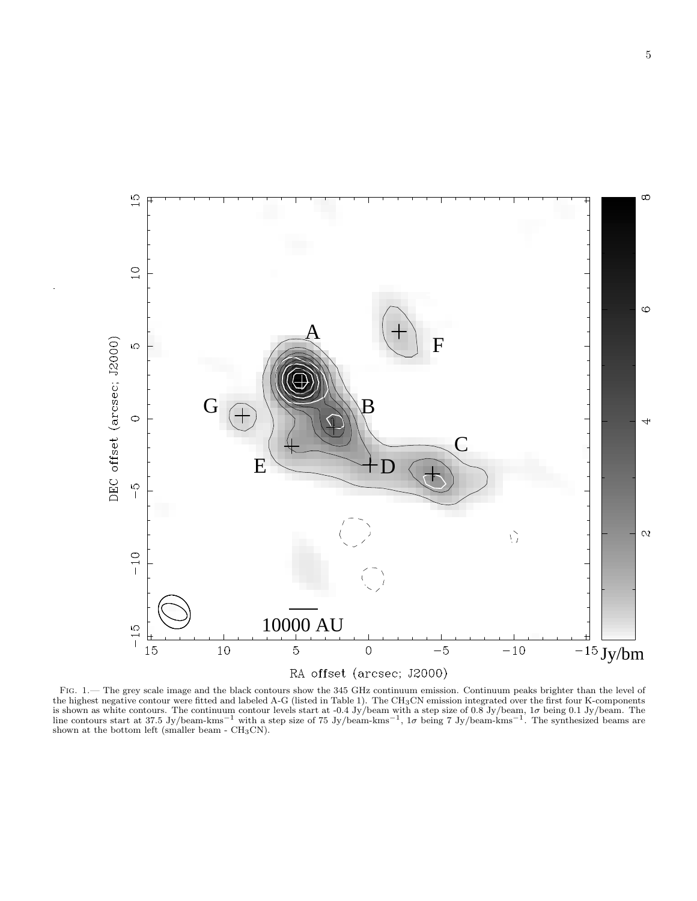

FIG. 1.— The grey scale image and the black contours show the 345 GHz continuum emission. Continuum peaks brighter than the level of the highest negative contour were fitted and labeled A-G (listed in Table 1). The CH<sub>3</sub>CN emission integrated over the first four K-components<br>is shown as white contours. The continuum contour levels start at -0.4 Jy/beam shown at the bottom left (smaller beam  $\text{- } CH_3CN$ ).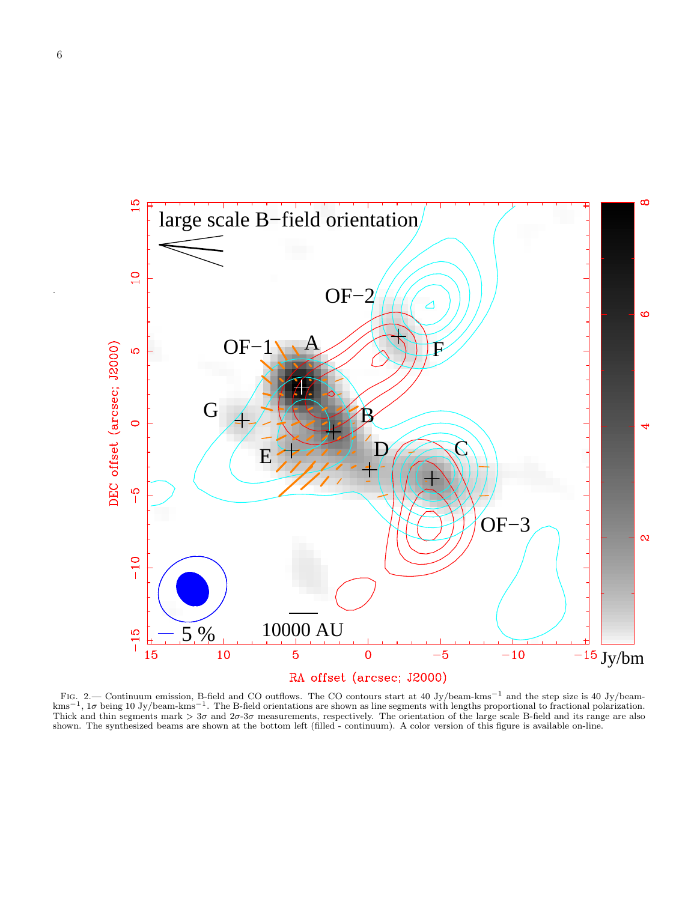

Fig. 2.— Continuum emission, B-field and CO outflows. The CO contours start at 40 Jy/beam-kms−<sup>1</sup> and the step size is 40 Jy/beamkms<sup>−1</sup>, 1σ being 10 Jy/beam-kms<sup>−1</sup>. The B-field orientations are shown as line segments with lengths proportional to fractional polarization. Thick and thin segments mark  $> 3\sigma$  and  $2\sigma$ -3 $\sigma$  measurements, respectively. The orientation of the large scale B-field and its range are also shown. The synthesized beams are shown at the bottom left (filled - continuum). A color version of this figure is available on-line.